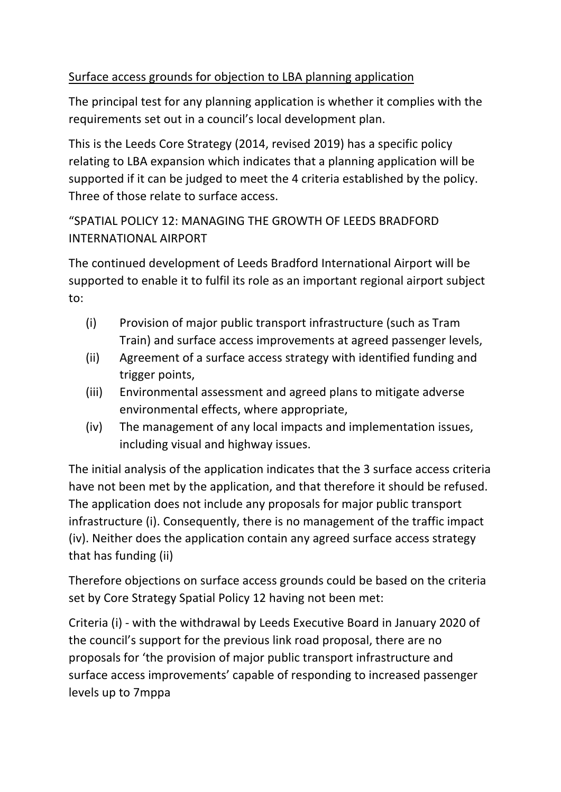## Surface access grounds for objection to LBA planning application

The principal test for any planning application is whether it complies with the requirements set out in a council's local development plan.

This is the Leeds Core Strategy (2014, revised 2019) has a specific policy relating to LBA expansion which indicates that a planning application will be supported if it can be judged to meet the 4 criteria established by the policy. Three of those relate to surface access.

## "SPATIAL POLICY 12: MANAGING THE GROWTH OF LEEDS BRADFORD INTERNATIONAL AIRPORT

The continued development of Leeds Bradford International Airport will be supported to enable it to fulfil its role as an important regional airport subject to:

- (i) Provision of major public transport infrastructure (such as Tram Train) and surface access improvements at agreed passenger levels,
- (ii) Agreement of a surface access strategy with identified funding and trigger points,
- (iii) Environmental assessment and agreed plans to mitigate adverse environmental effects, where appropriate,
- (iv) The management of any local impacts and implementation issues, including visual and highway issues.

The initial analysis of the application indicates that the 3 surface access criteria have not been met by the application, and that therefore it should be refused. The application does not include any proposals for major public transport infrastructure (i). Consequently, there is no management of the traffic impact (iv). Neither does the application contain any agreed surface access strategy that has funding (ii)

Therefore objections on surface access grounds could be based on the criteria set by Core Strategy Spatial Policy 12 having not been met:

Criteria (i) - with the withdrawal by Leeds Executive Board in January 2020 of the council's support for the previous link road proposal, there are no proposals for 'the provision of major public transport infrastructure and surface access improvements' capable of responding to increased passenger levels up to 7mppa